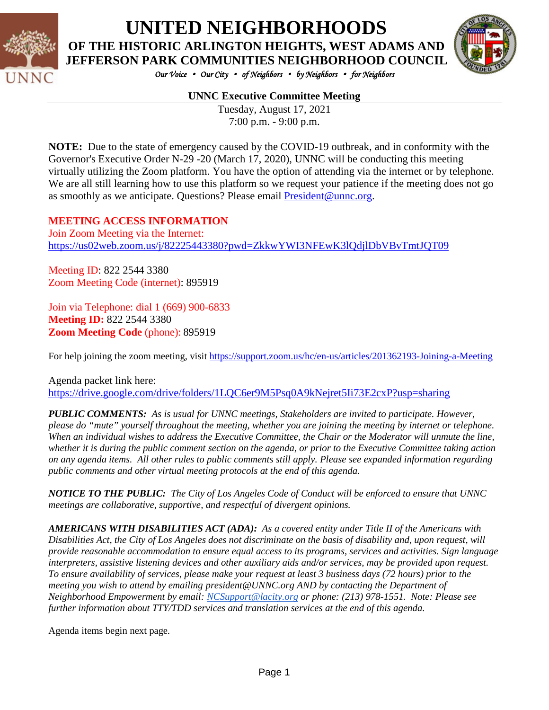

# **UNITED NEIGHBORHOODS**

**OF THE HISTORIC ARLINGTON HEIGHTS, WEST ADAMS AND JEFFERSON PARK COMMUNITIES NEIGHBORHOOD COUNCIL**



*Our Voice* • *Our City* • *of Neighbors* • *by Neighbors* • *for Neighbors* 

#### **UNNC Executive Committee Meeting**

Tuesday, August 17, 2021 7:00 p.m. - 9:00 p.m.

**NOTE:** Due to the state of emergency caused by the COVID-19 outbreak, and in conformity with the Governor's Executive Order N-29 -20 (March 17, 2020), UNNC will be conducting this meeting virtually utilizing the Zoom platform. You have the option of attending via the internet or by telephone. We are all still learning how to use this platform so we request your patience if the meeting does not go as smoothly as we anticipate. Questions? Please email [President@unnc.org.](mailto:President@unnc.org)

#### **MEETING ACCESS INFORMATION**

Join Zoom Meeting via the Internet: <https://us02web.zoom.us/j/82225443380?pwd=ZkkwYWI3NFEwK3lQdjlDbVBvTmtJQT09>

Meeting ID: 822 2544 3380 Zoom Meeting Code (internet): 895919

Join via Telephone: dial 1 (669) 900-6833 **Meeting ID:** 822 2544 3380 **Zoom Meeting Code** (phone): 895919

For help joining the zoom meeting, visit <https://support.zoom.us/hc/en-us/articles/201362193-Joining-a-Meeting>

Agenda packet link here: <https://drive.google.com/drive/folders/1LQC6er9M5Psq0A9kNejret5Ii73E2cxP?usp=sharing>

*PUBLIC COMMENTS: As is usual for UNNC meetings, Stakeholders are invited to participate. However, please do "mute" yourself throughout the meeting, whether you are joining the meeting by internet or telephone. When an individual wishes to address the Executive Committee, the Chair or the Moderator will unmute the line, whether it is during the public comment section on the agenda, or prior to the Executive Committee taking action on any agenda items. All other rules to public comments still apply. Please see expanded information regarding public comments and other virtual meeting protocols at the end of this agenda.*

*NOTICE TO THE PUBLIC: The City of Los Angeles Code of Conduct will be enforced to ensure that UNNC meetings are collaborative, supportive, and respectful of divergent opinions.* 

*AMERICANS WITH DISABILITIES ACT (ADA): As a covered entity under Title II of the Americans with Disabilities Act, the City of Los Angeles does not discriminate on the basis of disability and, upon request, will provide reasonable accommodation to ensure equal access to its programs, services and activities. Sign language interpreters, assistive listening devices and other auxiliary aids and/or services, may be provided upon request. To ensure availability of services, please make your request at least 3 business days (72 hours) prior to the meeting you wish to attend by emailing president@UNNC.org AND by contacting the Department of Neighborhood Empowerment by email: [NCSupport@lacity.org](mailto:NCSupport@lacity.org) or phone: (213) 978-1551. Note: Please see further information about TTY/TDD services and translation services at the end of this agenda.*

Agenda items begin next page*.*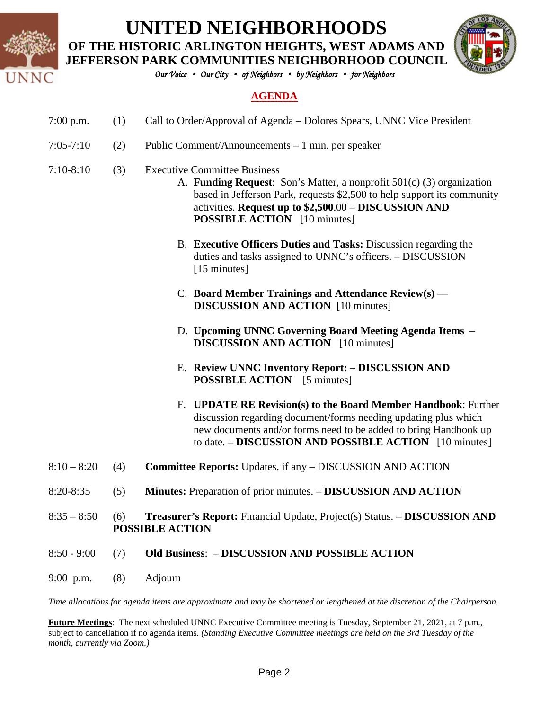

# **UNITED NEIGHBORHOODS**

**OF THE HISTORIC ARLINGTON HEIGHTS, WEST ADAMS AND** 



*Our Voice* • *Our City* • *of Neighbors* • *by Neighbors* • *for Neighbors* 

#### **AGENDA**

- 7:00 p.m. (1) Call to Order/Approval of Agenda Dolores Spears, UNNC Vice President
- 7:05-7:10 (2) Public Comment/Announcements 1 min. per speaker
- 7:10-8:10 (3) Executive Committee Business
	- A. **Funding Request**: Son's Matter, a nonprofit 501(c) (3) organization based in Jefferson Park, requests \$2,500 to help support its community activities. **Request up to \$2,500**.00 – **DISCUSSION AND POSSIBLE ACTION** [10 minutes]
	- B. **Executive Officers Duties and Tasks:** Discussion regarding the duties and tasks assigned to UNNC's officers. – DISCUSSION [15 minutes]
	- C. **Board Member Trainings and Attendance Review(s)** –– **DISCUSSION AND ACTION** [10 minutes]
	- D. **Upcoming UNNC Governing Board Meeting Agenda Items DISCUSSION AND ACTION** [10 minutes]
	- E. **Review UNNC Inventory Report: DISCUSSION AND POSSIBLE ACTION** [5 minutes]
	- F. **UPDATE RE Revision(s) to the Board Member Handbook**: Further discussion regarding document/forms needing updating plus which new documents and/or forms need to be added to bring Handbook up to date. – **DISCUSSION AND POSSIBLE ACTION** [10 minutes]
- 8:10 8:20 (4) **Committee Reports:** Updates, if any DISCUSSION AND ACTION
- 8:20-8:35 (5) **Minutes:** Preparation of prior minutes. **DISCUSSION AND ACTION**
- 8:35 8:50 (6) **Treasurer's Report:** Financial Update, Project(s) Status. **DISCUSSION AND POSSIBLE ACTION**
- 8:50 9:00 (7) **Old Business**: **DISCUSSION AND POSSIBLE ACTION**
- 9:00 p.m. (8) Adjourn

*Time allocations for agenda items are approximate and may be shortened or lengthened at the discretion of the Chairperson.*

**Future Meetings**: The next scheduled UNNC Executive Committee meeting is Tuesday, September 21, 2021, at 7 p.m., subject to cancellation if no agenda items. *(Standing Executive Committee meetings are held on the 3rd Tuesday of the month, currently via Zoom.)*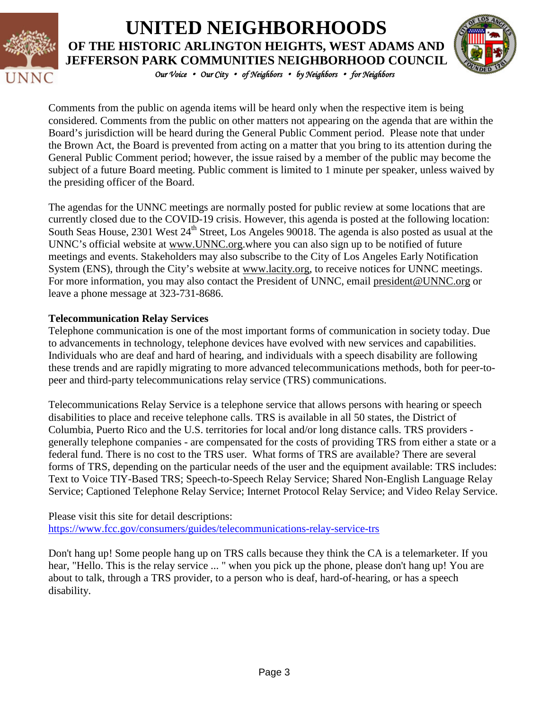

## *Our Voice* • *Our City* • *of Neighbors* • *by Neighbors* • *for Neighbors*  **UNITED NEIGHBORHOODS OF THE HISTORIC ARLINGTON HEIGHTS, WEST ADAMS AND JEFFERSON PARK COMMUNITIES NEIGHBORHOOD COUNCIL**



Comments from the public on agenda items will be heard only when the respective item is being considered. Comments from the public on other matters not appearing on the agenda that are within the Board's jurisdiction will be heard during the General Public Comment period. Please note that under the Brown Act, the Board is prevented from acting on a matter that you bring to its attention during the General Public Comment period; however, the issue raised by a member of the public may become the subject of a future Board meeting. Public comment is limited to 1 minute per speaker, unless waived by the presiding officer of the Board.

The agendas for the UNNC meetings are normally posted for public review at some locations that are currently closed due to the COVID-19 crisis. However, this agenda is posted at the following location: South Seas House, 2301 West 24<sup>th</sup> Street, Los Angeles 90018. The agenda is also posted as usual at the UNNC's official website at [www.UNNC.org.](http://www.unnc.org/)where you can also sign up to be notified of future meetings and events. Stakeholders may also subscribe to the City of Los Angeles Early Notification System (ENS), through the City's website at www.lacity.org, to receive notices for UNNC meetings. For more information, you may also contact the President of UNNC, email [president@UNNC.org](mailto:president@UNNC.org) or leave a phone message at 323-731-8686.

#### **Telecommunication Relay Services**

Telephone communication is one of the most important forms of communication in society today. Due to advancements in technology, telephone devices have evolved with new services and capabilities. Individuals who are deaf and hard of hearing, and individuals with a speech disability are following these trends and are rapidly migrating to more advanced telecommunications methods, both for peer-topeer and third-party telecommunications relay service (TRS) communications.

Telecommunications Relay Service is a telephone service that allows persons with hearing or speech disabilities to place and receive telephone calls. TRS is available in all 50 states, the District of Columbia, Puerto Rico and the U.S. territories for local and/or long distance calls. TRS providers generally telephone companies - are compensated for the costs of providing TRS from either a state or a federal fund. There is no cost to the TRS user. What forms of TRS are available? There are several forms of TRS, depending on the particular needs of the user and the equipment available: TRS includes: Text to Voice TIY-Based TRS; Speech-to-Speech Relay Service; Shared Non-English Language Relay Service; Captioned Telephone Relay Service; Internet Protocol Relay Service; and Video Relay Service.

Please visit this site for detail descriptions: <https://www.fcc.gov/consumers/guides/telecommunications-relay-service-trs>

Don't hang up! Some people hang up on TRS calls because they think the CA is a telemarketer. If you hear, "Hello. This is the relay service ... " when you pick up the phone, please don't hang up! You are about to talk, through a TRS provider, to a person who is deaf, hard-of-hearing, or has a speech disability.